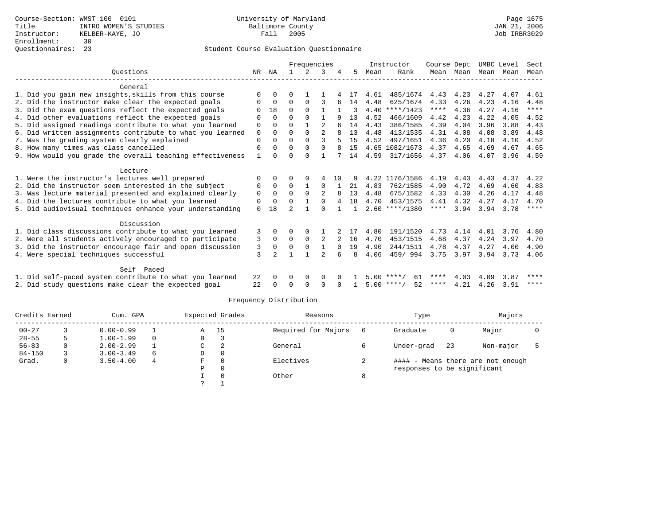|                                                           |          |              |              |               | Frequencies    |          |    |      | Instructor         | Course Dept |           |           | UMBC Level | Sect        |
|-----------------------------------------------------------|----------|--------------|--------------|---------------|----------------|----------|----|------|--------------------|-------------|-----------|-----------|------------|-------------|
| Ouestions                                                 | NR.      | ΝA           |              | $\mathcal{L}$ | 3              |          | 5  | Mean | Rank               |             | Mean Mean | Mean Mean |            | Mean        |
|                                                           |          |              |              |               |                |          |    |      |                    |             |           |           |            |             |
| General                                                   |          |              |              |               |                |          |    |      |                    |             |           |           |            |             |
| 1. Did you gain new insights, skills from this course     |          |              | U            |               |                |          |    | 4.61 | 485/1674           | 4.43        | 4.23      | 4.27      | 4.07       | 4.61        |
| 2. Did the instructor make clear the expected goals       | 0        | 0            | <sup>0</sup> | <sup>0</sup>  | 3              |          | 14 | 4.48 | 625/1674           | 4.33        | 4.26      | 4.23      | 4.16       | 4.48        |
| 3. Did the exam questions reflect the expected goals      |          | 18           | 0            | $\Omega$      |                |          |    |      | $4.40$ ****/1423   | $***$ * * * | 4.36      | 4.27      | 4.16       | $***$ * * * |
| 4. Did other evaluations reflect the expected goals       |          | $\Omega$     | $\Omega$     | $\Omega$      |                | 9        | 13 | 4.52 | 466/1609           | 4.42        | 4.23      | 4.22      | 4.05       | 4.52        |
| 5. Did assigned readings contribute to what you learned   | 0        | $\Omega$     | 0            |               | $\overline{2}$ |          | 14 | 4.43 | 386/1585           | 4.39        | 4.04      | 3.96      | 3.88       | 4.43        |
| 6. Did written assignments contribute to what you learned | 0        | $\Omega$     | $\Omega$     | $\Omega$      | $\overline{a}$ |          | 13 | 4.48 | 413/1535           | 4.31        | 4.08      | 4.08      | 3.89       | 4.48        |
| 7. Was the grading system clearly explained               | 0        | 0            | 0            | $\mathbf 0$   | 3              |          | 15 | 4.52 | 497/1651           | 4.36        | 4.20      | 4.18      | 4.10       | 4.52        |
| 8. How many times was class cancelled                     | 0        | <sup>0</sup> | U            | $\Omega$      | $\Omega$       | 8        | 15 |      | 4.65 1082/1673     | 4.37        | 4.65      | 4.69      | 4.67       | 4.65        |
| 9. How would you grade the overall teaching effectiveness | -1       | <sup>0</sup> |              | <sup>n</sup>  |                |          | 14 | 4.59 | 317/1656           | 4.37        | 4.06      | 4.07      | 3.96       | 4.59        |
|                                                           |          |              |              |               |                |          |    |      |                    |             |           |           |            |             |
| Lecture                                                   |          |              |              |               |                |          |    |      |                    |             |           |           |            |             |
| 1. Were the instructor's lectures well prepared           | 0        | $\Omega$     | 0            | $\Omega$      | 4              | 10       | 9  |      | 4.22 1176/1586     | 4.19        | 4.43      | 4.43      | 4.37       | 4.22        |
| 2. Did the instructor seem interested in the subject      | 0        | $\mathbf 0$  | 0            |               | $\Omega$       |          | 21 | 4.83 | 762/1585           | 4.90        | 4.72      | 4.69      | 4.60       | 4.83        |
| 3. Was lecture material presented and explained clearly   | 0        | 0            | $\Omega$     | 0             | $\overline{a}$ |          | 13 | 4.48 | 675/1582           | 4.33        | 4.30      | 4.26      | 4.17       | 4.48        |
| 4. Did the lectures contribute to what you learned        | 0        | $\Omega$     | U            |               | 0              |          | 18 | 4.70 | 453/1575           | 4.41        | 4.32      | 4.27      | 4.17       | 4.70        |
| 5. Did audiovisual techniques enhance your understanding  | $\Omega$ | 18           | っ            |               | $\cap$         |          |    |      | $2.60$ ****/1380   | ****        | 3.94      | 3.94      | 3.78       | $***$ * * * |
| Discussion                                                |          |              |              |               |                |          |    |      |                    |             |           |           |            |             |
| 1. Did class discussions contribute to what you learned   | 3        | $\Omega$     | 0            | $\Omega$      |                |          | 17 | 4.80 | 191/1520           | 4.73        | 4.14      | 4.01      | 3.76       | 4.80        |
| 2. Were all students actively encouraged to participate   | 3        | $\Omega$     | 0            | $\Omega$      | 2              | 2        | 16 | 4.70 | 453/1515           | 4.68        | 4.37      | 4.24      | 3.97       | 4.70        |
| 3. Did the instructor encourage fair and open discussion  | 3        | $\Omega$     | U            | 0             |                | $\Omega$ | 19 | 4.90 | 244/1511           | 4.78        | 4.37      | 4.27      | 4.00       | 4.90        |
| 4. Were special techniques successful                     | 3        |              |              |               | $\mathfrak{D}$ | 6        |    | 4.06 | 459/994            | 3.75        | 3.97      | 3.94      | 3.73       | 4.06        |
|                                                           |          |              |              |               |                |          |    |      |                    |             |           |           |            |             |
| Self Paced                                                |          |              |              |               |                |          |    |      |                    |             |           |           |            |             |
| 1. Did self-paced system contribute to what you learned   | 22       | $\Omega$     |              | 0             | $\Omega$       |          |    |      | 61<br>$5.00$ ****/ | ****        | 4.03      | 4.09      | 3.87       | ****        |
| 2. Did study questions make clear the expected goal       | 22       | $\Omega$     | U            | $\Omega$      | 0              |          |    |      | $5.00$ ****/<br>52 | ****        | 4.21      | 4.26      | 3.91       | ****        |
|                                                           |          |              |              |               |                |          |    |      |                    |             |           |           |            |             |

| Credits Earned |              | Cum. GPA      |          |    | Expected Grades | Reasons             |    | Type                        |    | Majors                            |  |
|----------------|--------------|---------------|----------|----|-----------------|---------------------|----|-----------------------------|----|-----------------------------------|--|
| $00 - 27$      |              | $0.00 - 0.99$ |          | A  | 15              | Required for Majors | -6 | Graduate                    | 0  | Major                             |  |
| $28 - 55$      |              | $1.00 - 1.99$ | $\Omega$ | В  |                 |                     |    |                             |    |                                   |  |
| $56 - 83$      | 0            | $2.00 - 2.99$ |          | C  |                 | General             |    | Under-grad                  | 23 | Non-major                         |  |
| $84 - 150$     |              | $3.00 - 3.49$ | 6        | D  | 0               |                     |    |                             |    |                                   |  |
| Grad.          | $\mathbf{0}$ | $3.50 - 4.00$ | 4        | F. | $\Omega$        | Electives           | ∠  |                             |    | #### - Means there are not enough |  |
|                |              |               |          | Ρ  | 0               |                     |    | responses to be significant |    |                                   |  |
|                |              |               |          |    | $\Omega$        | Other               | 8  |                             |    |                                   |  |
|                |              |               |          |    |                 |                     |    |                             |    |                                   |  |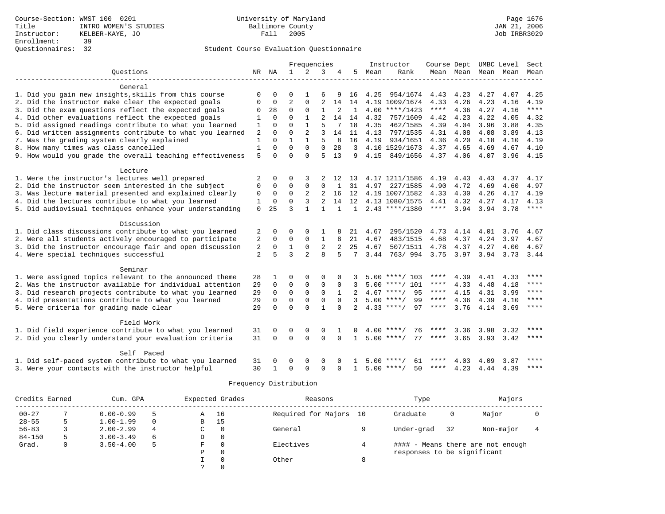|                                                                    |                |              |                | Frequencies    |                |                |                |      | Instructor         | Course Dept UMBC Level |                |      |              | Sect        |
|--------------------------------------------------------------------|----------------|--------------|----------------|----------------|----------------|----------------|----------------|------|--------------------|------------------------|----------------|------|--------------|-------------|
| Ouestions                                                          |                | NR NA        | $\mathbf{1}$   | 2              | 3              | 4              | 5              | Mean | Rank               |                        | Mean Mean Mean |      | Mean         | Mean        |
|                                                                    |                |              |                |                |                |                |                |      |                    |                        |                |      |              |             |
| General                                                            |                |              |                |                |                |                |                |      |                    |                        |                |      |              |             |
| 1. Did you gain new insights, skills from this course              | $\Omega$       | $\Omega$     | 0              |                |                |                | 16             | 4.25 | 954/1674           | 4.43 4.23              |                | 4.27 | 4.07         | 4.25        |
| 2. Did the instructor make clear the expected goals                | 0              | 0            | $\overline{a}$ | $\Omega$       | $\overline{2}$ | 14             | 14             |      | 4.19 1009/1674     | 4.33                   | 4.26           | 4.23 | 4.16         | 4.19        |
| 3. Did the exam questions reflect the expected goals               | $\mathbf 0$    | 28           | $\Omega$       | $\Omega$       | $\mathbf{1}$   | 2              | 1              |      | $4.00$ ****/1423   | $***$ * * *            | 4.36           | 4.27 | 4.16         | $***$       |
| 4. Did other evaluations reflect the expected goals                | 1              | $\Omega$     | $\Omega$       | 1              | $\overline{a}$ | 14             | 14             | 4.32 | 757/1609           | 4.42                   | 4.23           | 4.22 | 4.05         | 4.32        |
| 5. Did assigned readings contribute to what you learned            | 1              | $\Omega$     | $\cap$         | $\mathbf{1}$   | 5              |                | 18             | 4.35 | 462/1585           | 4.39                   | 4.04           | 3.96 | 3.88         | 4.35        |
| 6. Did written assignments contribute to what you learned          | 2              | $\Omega$     | $\Omega$       | 2              | 3              | 14             | 11             | 4.13 | 797/1535           | 4.31                   | 4.08           | 4.08 | 3.89         | 4.13        |
| 7. Was the grading system clearly explained                        | $\mathbf 1$    | $\Omega$     | $\mathbf{1}$   | $\mathbf{1}$   | 5              | 8              | 16             | 4.19 | 934/1651           | 4.36                   | 4.20           | 4.18 | 4.10         | 4.19        |
| 8. How many times was class cancelled                              | $1\,$          | $\Omega$     | $\Omega$       | $\Omega$       | $\Omega$       | 28             | 3              |      | 4.10 1529/1673     | 4.37 4.65              |                | 4.69 | 4.67         | 4.10        |
| 9. How would you grade the overall teaching effectiveness          | 5              | $\Omega$     | $\Omega$       | $\cap$         | 5              | 13             | 9              | 4.15 | 849/1656           | 4.37                   | 4.06           | 4.07 | 3.96         | 4.15        |
|                                                                    |                |              |                |                |                |                |                |      |                    |                        |                |      |              |             |
| Lecture                                                            |                |              |                |                |                |                |                |      |                    |                        |                |      |              |             |
| 1. Were the instructor's lectures well prepared                    | 2              | 0            | 0              | 3              | 2              | 12             | 13             |      | 4.17 1211/1586     | 4.19                   | 4.43           | 4.43 | 4.37         | 4.17        |
| 2. Did the instructor seem interested in the subject               | 0              | 0            | $\Omega$       | 0              | $\Omega$       | $\mathbf{1}$   | 31             | 4.97 | 227/1585           | 4.90                   | 4.72           | 4.69 | 4.60         | 4.97        |
| 3. Was lecture material presented and explained clearly            | 0              | 0            | $\Omega$       | $\overline{2}$ | $\overline{2}$ | 16             | 12             |      | 4.19 1007/1582     | 4.33                   | 4.30           | 4.26 | 4.17         | 4.19        |
| 4. Did the lectures contribute to what you learned                 | 1              | 0            | $\Omega$       |                | $\overline{a}$ | 14             | 12             |      | 4.13 1080/1575     | 4.41                   | 4.32           | 4.27 | 4.17         | 4.13        |
| 5. Did audiovisual techniques enhance your understanding           | $\Omega$       | 25           | 3              | $\mathbf{1}$   | $\mathbf{1}$   | $\mathbf{1}$   | $\mathbf{1}$   |      | $2.43$ ****/1380   | ****                   | 3.94           | 3.94 | 3.78         | $***$ * * * |
|                                                                    |                |              |                |                |                |                |                |      |                    |                        |                |      |              |             |
| Discussion                                                         |                |              |                |                |                |                |                |      |                    |                        |                |      |              |             |
| 1. Did class discussions contribute to what you learned            | 2              | 0            | O              | $\Omega$       |                | 8              | 21             | 4.67 | 295/1520           | 4.73                   | 4.14           | 4.01 | 3.76         | 4.67        |
| 2. Were all students actively encouraged to participate            | 2              | 0            | $\Omega$       | $\Omega$       | $\mathbf{1}$   | 8              | 21             | 4.67 | 483/1515           | 4.68                   | 4.37           | 4.24 | 3.97         | 4.67        |
| 3. Did the instructor encourage fair and open discussion           | 2              | $\mathbf 0$  | $\mathbf{1}$   | $\mathbf 0$    | $\overline{2}$ | $\overline{2}$ | 25             | 4.67 | 507/1511           | 4.78                   | 4.37           | 4.27 | 4.00         | 4.67        |
| 4. Were special techniques successful                              | $\overline{a}$ | 5            | 3              | $\overline{a}$ | 8              | 5              | 7              | 3.44 | 763/994            | 3.75                   | 3.97           | 3.94 | 3.73         | 3.44        |
|                                                                    |                |              |                |                |                |                |                |      |                    |                        |                |      |              |             |
| Seminar<br>1. Were assigned topics relevant to the announced theme |                | 1            | O              | $\Omega$       | $\Omega$       |                |                |      | $5.00$ ****/ 103   | ****                   | 4.39           | 4.41 |              | $***$       |
| 2. Was the instructor available for individual attention           | 28<br>29       | $\mathbf 0$  | $\mathbf 0$    | $\Omega$       | $\mathbf 0$    | $\Omega$       | 3              |      | $5.00$ ****/ 101   | ****                   | 4.33           | 4.48 | 4.33<br>4.18 | ****        |
|                                                                    | 29             | $\Omega$     | $\Omega$       | $\Omega$       | $\Omega$       | $\mathbf{1}$   |                |      | $4.67$ ****/<br>95 | $***$ * * *            | 4.15           | 4.31 | 3.99         | ****        |
| 3. Did research projects contribute to what you learned            |                | $\Omega$     | $\Omega$       | $\Omega$       | $\Omega$       | $\Omega$       |                |      | $5.00$ ****/<br>99 | $***$ * *              |                |      |              | ****        |
| 4. Did presentations contribute to what you learned                | 29             |              | $\Omega$       | $\Omega$       | $\mathbf{1}$   |                |                |      | $4.33$ ****/       | $***$ * * *            | 4.36           | 4.39 | 4.10         | $* * * * *$ |
| 5. Were criteria for grading made clear                            | 29             | $\Omega$     |                |                |                | $\Omega$       | $\overline{a}$ |      | 97                 |                        | 3.76           | 4.14 | 3.69         |             |
| Field Work                                                         |                |              |                |                |                |                |                |      |                    |                        |                |      |              |             |
| 1. Did field experience contribute to what you learned             | 31             | $\Omega$     | 0              | $\mathbf 0$    | $\mathbf 0$    |                | 0              |      | $4.00$ ****/<br>76 | ****                   | 3.36           | 3.98 | 3.32         | ****        |
| 2. Did you clearly understand your evaluation criteria             | 31             | $\Omega$     | $\Omega$       | $\Omega$       | $\Omega$       | $\Omega$       | $\mathbf{1}$   |      | $5.00$ ****/<br>77 | ****                   | 3.65           | 3.93 | 3.42         | $***$       |
|                                                                    |                |              |                |                |                |                |                |      |                    |                        |                |      |              |             |
| Self Paced                                                         |                |              |                |                |                |                |                |      |                    |                        |                |      |              |             |
| 1. Did self-paced system contribute to what you learned            | 31             |              | 0              | 0              | 0              |                |                | 5.00 | ****/<br>61        | ****                   | 4.03           | 4.09 | 3.87         | ****        |
| 3. Were your contacts with the instructor helpful                  | 30             | $\mathbf{1}$ | $\Omega$       | $\Omega$       | $\mathbf 0$    | $\Omega$       | $\mathbf 1$    |      | $5.00$ ****/<br>50 | ****                   | 4.23           | 4.44 | 4.39         | $***$       |

| Credits Earned |               | Cum. GPA      |          |   | Expected Grades | Reasons             |    | Type                        |    | Majors                            |  |
|----------------|---------------|---------------|----------|---|-----------------|---------------------|----|-----------------------------|----|-----------------------------------|--|
| $00 - 27$      |               | $0.00 - 0.99$ |          | Α | 16              | Required for Majors | 10 | Graduate                    | 0  | Major                             |  |
| $28 - 55$      |               | $1.00 - 1.99$ | $\Omega$ | В | 15              |                     |    |                             |    |                                   |  |
| $56 - 83$      |               | $2.00 - 2.99$ | 4        | C | 0               | General             |    | Under-grad                  | 32 | Non-major                         |  |
| $84 - 150$     | $\mathcal{L}$ | $3.00 - 3.49$ | 6        | D | 0               |                     |    |                             |    |                                   |  |
| Grad.          | 0             | $3.50 - 4.00$ | 5        | F | $\Omega$        | Electives           |    |                             |    | #### - Means there are not enough |  |
|                |               |               |          | Ρ | 0               |                     |    | responses to be significant |    |                                   |  |
|                |               |               |          |   | $\Omega$        | Other               | 8  |                             |    |                                   |  |
|                |               |               |          |   | $\Omega$        |                     |    |                             |    |                                   |  |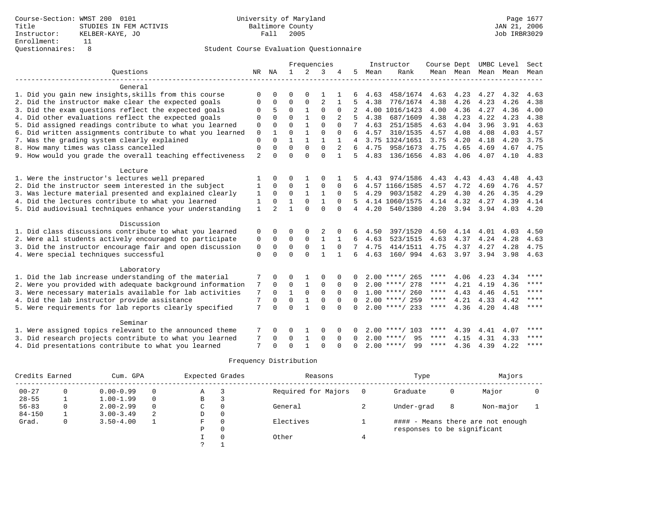|                                                           |              |                |              |              | Frequencies    |                |          |      | Instructor         | Course Dept |                   |      | UMBC Level               | Sect        |
|-----------------------------------------------------------|--------------|----------------|--------------|--------------|----------------|----------------|----------|------|--------------------|-------------|-------------------|------|--------------------------|-------------|
| Ouestions                                                 | NR           | ΝA             | $\mathbf{1}$ | 2            | 3              | 4              | 5        | Mean | Rank               |             |                   |      | Mean Mean Mean Mean Mean |             |
|                                                           |              |                |              |              |                |                |          |      |                    |             |                   |      |                          |             |
| General                                                   |              |                |              |              |                |                |          |      |                    |             |                   |      |                          |             |
| 1. Did you gain new insights, skills from this course     | O            | U              | O            | $\Omega$     |                |                |          | 4.63 | 458/1674           | 4.63        | 4.23              | 4.27 | 4.32                     | 4.63        |
| 2. Did the instructor make clear the expected goals       | 0            | 0              | 0            | 0            | $\overline{2}$ | 1              | 5        | 4.38 | 776/1674           | 4.38        | 4.26              | 4.23 | 4.26                     | 4.38        |
| 3. Did the exam questions reflect the expected goals      | O            | 5              | $\Omega$     | $\mathbf{1}$ | $\mathbf{0}$   | 0              | 2        |      | 4.00 1016/1423     | 4.00        | 4.36              | 4.27 | 4.36                     | 4.00        |
| 4. Did other evaluations reflect the expected goals       | $\Omega$     | $\Omega$       | $\Omega$     | $\mathbf{1}$ | $\Omega$       | $\mathfrak{D}$ |          | 4.38 | 687/1609           | 4.38        | 4.23              | 4.22 | 4.23                     | 4.38        |
| 5. Did assigned readings contribute to what you learned   | $\mathbf 0$  | $\Omega$       | $\Omega$     | $\mathbf{1}$ | $\Omega$       | $\Omega$       |          | 4.63 | 251/1585           | 4.63        | 4.04              | 3.96 | 3.91                     | 4.63        |
| 6. Did written assignments contribute to what you learned | 0            | $\mathbf{1}$   | $\Omega$     | $\mathbf{1}$ | $\Omega$       | $\Omega$       | 6        | 4.57 | 310/1535           | 4.57        | 4.08              | 4.08 | 4.03                     | 4.57        |
| 7. Was the grading system clearly explained               | 0            | $\Omega$       | $\mathbf{1}$ | $\mathbf{1}$ | $\mathbf{1}$   |                | 4        |      | 3.75 1324/1651     | 3.75        | 4.20              | 4.18 | 4.20                     | 3.75        |
| 8. How many times was class cancelled                     | $\mathbf 0$  | $\Omega$       | $\Omega$     | $\Omega$     | $\Omega$       | $\overline{2}$ | 6        | 4.75 | 958/1673           | 4.75        | 4.65              | 4.69 | 4.67                     | 4.75        |
| 9. How would you grade the overall teaching effectiveness | 2            | $\Omega$       | $\Omega$     | $\Omega$     | $\Omega$       | $\mathbf{1}$   | 5        | 4.83 | 136/1656           | 4.83        | 4.06              | 4.07 | 4.10                     | 4.83        |
| Lecture                                                   |              |                |              |              |                |                |          |      |                    |             |                   |      |                          |             |
| 1. Were the instructor's lectures well prepared           |              | $\Omega$       | O            |              | 0              |                |          | 4.43 | 974/1586           | 4.43        | 4.43              | 4.43 | 4.48                     | 4.43        |
| 2. Did the instructor seem interested in the subject      | 1            | 0              | 0            | 1            | $\mathbf 0$    | 0              | 6        |      | 4.57 1166/1585     | 4.57        | 4.72              | 4.69 | 4.76                     | 4.57        |
| 3. Was lecture material presented and explained clearly   | 1            | $\Omega$       | 0            | 1            | 1              | $\Omega$       | 5        | 4.29 | 903/1582           | 4.29        | 4.30              | 4.26 | 4.35                     | 4.29        |
| 4. Did the lectures contribute to what you learned        | 1            | $\Omega$       | $\mathbf{1}$ | $\mathbf 0$  | $\mathbf{1}$   | $\Omega$       |          |      | 4.14 1060/1575     |             | 4.14 4.32         | 4.27 | 4.39                     | 4.14        |
| 5. Did audiovisual techniques enhance your understanding  | $\mathbf{1}$ | $\overline{a}$ | $\mathbf{1}$ | $\Omega$     | $\Omega$       | $\Omega$       |          | 4.20 | 540/1380           |             | $4.20 \quad 3.94$ | 3.94 | 4.03                     | 4.20        |
|                                                           |              |                |              |              |                |                |          |      |                    |             |                   |      |                          |             |
| Discussion                                                |              |                |              |              |                |                |          |      |                    |             |                   |      |                          |             |
| 1. Did class discussions contribute to what you learned   | 0            | O              | O            | $\Omega$     |                |                | 6        | 4.50 | 397/1520           | 4.50        | 4.14              | 4.01 | 4.03                     | 4.50        |
| 2. Were all students actively encouraged to participate   | 0            | $\Omega$       | $\Omega$     | $\mathbf 0$  | $\mathbf 1$    | 1              | 6        | 4.63 | 523/1515           | 4.63        | 4.37              | 4.24 | 4.28                     | 4.63        |
| 3. Did the instructor encourage fair and open discussion  | 0            | 0              | $\mathbf 0$  | $\mathbf 0$  | $\mathbf{1}$   | $\Omega$       |          | 4.75 | 414/1511           | 4.75        | 4.37              | 4.27 | 4.28                     | 4.75        |
| 4. Were special techniques successful                     | $\Omega$     | $\Omega$       | $\Omega$     | $\Omega$     | $\mathbf{1}$   | $\mathbf{1}$   | 6        | 4.63 | 160/ 994           | 4.63        | 3.97              | 3.94 | 3.98                     | 4.63        |
| Laboratory                                                |              |                |              |              |                |                |          |      |                    |             |                   |      |                          |             |
| 1. Did the lab increase understanding of the material     | 7            | $\Omega$       | U            |              | O              |                |          |      | $2.00$ ****/ 265   | ****        | 4.06              | 4.23 | 4.34                     | ****        |
| 2. Were you provided with adequate background information | 7            | $\Omega$       | 0            | 1            | $\mathbf 0$    | $\Omega$       | 0        |      | $2.00$ ****/ 278   | ****        | 4.21              | 4.19 | 4.36                     | ****        |
| 3. Were necessary materials available for lab activities  | 7            | $\Omega$       | $\mathbf{1}$ | $\mathbf 0$  | $\Omega$       | $\Omega$       | $\Omega$ |      | $1.00$ ****/ 260   | ****        | 4.43              | 4.46 | 4.51                     | $* * * * *$ |
| 4. Did the lab instructor provide assistance              | 7            | $\Omega$       | $\Omega$     | $\mathbf{1}$ | $\mathbf{0}$   | $\Omega$       | $\cap$   |      | $2.00$ ****/ 259   | $***$ * *   | 4.21              | 4.33 | 4.42                     | $***$ * * * |
|                                                           | 7            | $\Omega$       | $\Omega$     | $\mathbf{1}$ | $\Omega$       | $\Omega$       | $\Omega$ |      | $2.00$ ****/ 233   | $***$ * *   | 4.36              |      | 4.48                     | $***$ *     |
| 5. Were requirements for lab reports clearly specified    |              |                |              |              |                |                |          |      |                    |             |                   | 4.20 |                          |             |
| Seminar                                                   |              |                |              |              |                |                |          |      |                    |             |                   |      |                          |             |
| 1. Were assigned topics relevant to the announced theme   |              | O              | 0            |              | 0              |                | U        |      | 2.00 ****/ 103     | ****        | 4.39              | 4.41 | 4.07                     | $***$ * * * |
| 3. Did research projects contribute to what you learned   | 7            | $\Omega$       | $\Omega$     | 1            | $\mathbf 0$    | $\Omega$       | $\Omega$ |      | 95<br>$2.00$ ****/ | ****        | 4.15              | 4.31 | 4.33                     | ****        |
| 4. Did presentations contribute to what you learned       | 7            | ∩              | $\Omega$     |              | $\cap$         | $\cap$         | $\cap$   |      | 99<br>$2.00$ ****/ | ****        | 4.36              | 4.39 | 4.22                     | $* * * * *$ |

| Credits Earned |   | Cum. GPA      |   | Expected Grades |          | Reasons             | Type                        |   | Majors                            |  |
|----------------|---|---------------|---|-----------------|----------|---------------------|-----------------------------|---|-----------------------------------|--|
| $00 - 27$      |   | $0.00 - 0.99$ |   | Α               |          | Required for Majors | Graduate                    | 0 | Major                             |  |
| $28 - 55$      |   | $1.00 - 1.99$ |   | В               |          |                     |                             |   |                                   |  |
| $56 - 83$      |   | $2.00 - 2.99$ |   | C               | $\Omega$ | General             | Under-grad                  | 8 | Non-major                         |  |
| $84 - 150$     |   | $3.00 - 3.49$ | 2 | D               | 0        |                     |                             |   |                                   |  |
| Grad.          | 0 | $3.50 - 4.00$ |   | F               | $\Omega$ | Electives           |                             |   | #### - Means there are not enough |  |
|                |   |               |   | Ρ               | $\Omega$ |                     | responses to be significant |   |                                   |  |
|                |   |               |   |                 | $\Omega$ | Other               |                             |   |                                   |  |
|                |   |               |   |                 |          |                     |                             |   |                                   |  |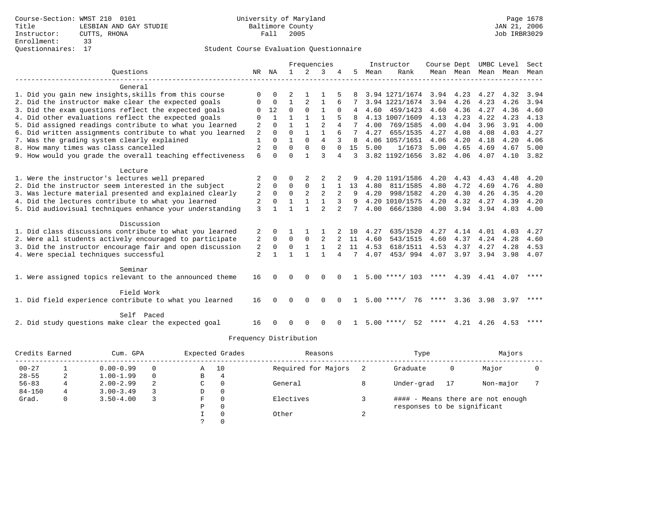|                                                           | Frequencies    |              |              |                |                | Instructor     | Course Dept |      |                    | UMBC Level | Sect                |      |      |      |
|-----------------------------------------------------------|----------------|--------------|--------------|----------------|----------------|----------------|-------------|------|--------------------|------------|---------------------|------|------|------|
| Ouestions                                                 | NR             | NA           | $\mathbf{1}$ | 2              | 3              |                | 5           | Mean | Rank               |            | Mean Mean Mean Mean |      |      | Mean |
| General                                                   |                |              |              |                |                |                |             |      |                    |            |                     |      |      |      |
| 1. Did you gain new insights, skills from this course     | $\Omega$       |              |              |                |                |                |             |      | 3.94 1271/1674     | 3.94       | 4.23                | 4.27 | 4.32 | 3.94 |
| 2. Did the instructor make clear the expected goals       |                | $\Omega$     |              | $\overline{2}$ |                | 6              |             |      | 3.94 1221/1674     | 3.94       | 4.26                | 4.23 | 4.26 | 3.94 |
| 3. Did the exam questions reflect the expected goals      | $\Omega$       | 12           | $\Omega$     | $\Omega$       | 1              | 0              | 4           | 4.60 | 459/1423           | 4.60       | 4.36                | 4.27 | 4.36 | 4.60 |
| 4. Did other evaluations reflect the expected goals       | $\Omega$       | $\mathbf{1}$ | $\mathbf{1}$ |                | $\mathbf{1}$   |                | 8           |      | 4.13 1007/1609     | 4.13       | 4.23                | 4.22 | 4.23 | 4.13 |
| 5. Did assigned readings contribute to what you learned   | $\overline{2}$ | $\cap$       |              |                | $\overline{2}$ | 4              |             | 4.00 | 769/1585           | 4.00       | 4.04                | 3.96 | 3.91 | 4.00 |
| 6. Did written assignments contribute to what you learned | $\overline{2}$ | $\Omega$     | $\Omega$     |                |                |                |             | 4.27 | 655/1535           | 4.27       | 4.08                | 4.08 | 4.03 | 4.27 |
| 7. Was the grading system clearly explained               |                | $\Omega$     |              | $\Omega$       | $\overline{4}$ | 3              | 8           |      | 4.06 1057/1651     | 4.06       | 4.20                | 4.18 | 4.20 | 4.06 |
| 8. How many times was class cancelled                     | 2              | $\Omega$     | $\Omega$     | $\Omega$       | $\Omega$       | $\Omega$       | 15          | 5.00 | 1/1673             | 5.00       | 4.65                | 4.69 | 4.67 | 5.00 |
| 9. How would you grade the overall teaching effectiveness | 6              | $\cap$       | $\Omega$     |                | 3              | 4              | 3           |      | 3.82 1192/1656     | 3.82       | 4.06                | 4.07 | 4.10 | 3.82 |
| Lecture                                                   |                |              |              |                |                |                |             |      |                    |            |                     |      |      |      |
| 1. Were the instructor's lectures well prepared           |                |              | ∩            |                |                |                |             |      | 4.20 1191/1586     | 4.20       | 4.43                | 4.43 | 4.48 | 4.20 |
| 2. Did the instructor seem interested in the subject      | 2              | $\Omega$     | $\Omega$     | $\Omega$       | 1              |                | 13          | 4.80 | 811/1585           | 4.80       | 4.72                | 4.69 | 4.76 | 4.80 |
| 3. Was lecture material presented and explained clearly   | 2              | $\Omega$     | $\mathbf 0$  | 2              | 2              | 2              | 9           | 4.20 | 998/1582           | 4.20       | 4.30                | 4.26 | 4.35 | 4.20 |
| 4. Did the lectures contribute to what you learned        | 2              | $\Omega$     |              |                |                | 3              | 9           |      | 4.20 1010/1575     | 4.20       | 4.32                | 4.27 | 4.39 | 4.20 |
| 5. Did audiovisual techniques enhance your understanding  | 3              |              |              |                | $\mathfrak{D}$ | $\overline{2}$ | 7           | 4.00 | 666/1380           | 4.00       | 3.94 3.94           |      | 4.03 | 4.00 |
| Discussion                                                |                |              |              |                |                |                |             |      |                    |            |                     |      |      |      |
| 1. Did class discussions contribute to what you learned   | 2              |              |              |                |                |                | 10          | 4.27 | 635/1520           | 4.27       | 4.14                | 4.01 | 4.03 | 4.27 |
| 2. Were all students actively encouraged to participate   | 2              | $\Omega$     | $\Omega$     | $\Omega$       | 2              |                | 11          | 4.60 | 543/1515           | 4.60       | 4.37                | 4.24 | 4.28 | 4.60 |
| 3. Did the instructor encourage fair and open discussion  | 2              | $\mathbf 0$  | $\Omega$     |                | 1              | 2              | 11          | 4.53 | 618/1511           | 4.53       | 4.37                | 4.27 | 4.28 | 4.53 |
| 4. Were special techniques successful                     | $\overline{2}$ |              |              |                | 1              | 4              | 7           | 4.07 | 453/994            | 4.07       | 3.97                | 3.94 | 3.98 | 4.07 |
| Seminar                                                   |                |              |              |                |                |                |             |      |                    |            |                     |      |      |      |
| 1. Were assigned topics relevant to the announced theme   | 16             | $\Omega$     | $\Omega$     | $\Omega$       | <sup>0</sup>   |                |             |      | $5.00$ ****/ 103   | ****       | 4.39                | 4.41 | 4.07 | **** |
| Field Work                                                |                |              |              |                |                |                |             |      |                    |            |                     |      |      |      |
| 1. Did field experience contribute to what you learned    | 16             |              | <sup>0</sup> | <sup>0</sup>   | 0              |                |             |      | $5.00$ ****/<br>76 | ****       | 3.36                | 3.98 | 3.97 | **** |
| Self Paced                                                |                |              |              |                |                |                |             |      |                    |            |                     |      |      |      |
| 2. Did study questions make clear the expected goal       | 16             |              |              |                | ∩              |                |             |      | 52<br>$5.00$ ****/ | ****       | 4.21                | 4.26 | 4.53 | **** |

| Credits Earned |   | Cum. GPA      |          | Expected Grades |          | Reasons             |        | Type                        |    | Majors                            |  |
|----------------|---|---------------|----------|-----------------|----------|---------------------|--------|-----------------------------|----|-----------------------------------|--|
| $00 - 27$      |   | $0.00 - 0.99$ |          | Α               | 10       | Required for Majors |        | Graduate                    | 0  | Major                             |  |
| $28 - 55$      | 2 | $1.00 - 1.99$ | $\Omega$ | В               | 4        |                     |        |                             |    |                                   |  |
| $56 - 83$      |   | $2.00 - 2.99$ | 2        | C               | 0        | General             | 8      | Under-grad                  | 17 | Non-major                         |  |
| $84 - 150$     | 4 | $3.00 - 3.49$ |          | D               | 0        |                     |        |                             |    |                                   |  |
| Grad.          | 0 | $3.50 - 4.00$ |          | F               |          | Electives           |        |                             |    | #### - Means there are not enough |  |
|                |   |               |          | Р               | 0        |                     |        | responses to be significant |    |                                   |  |
|                |   |               |          |                 | $\Omega$ | Other               | $\sim$ |                             |    |                                   |  |
|                |   |               |          |                 |          |                     |        |                             |    |                                   |  |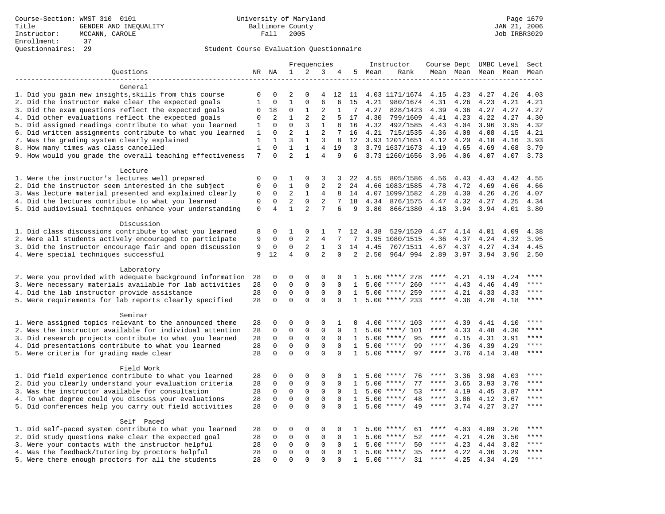|                                                           |              |              |                |                | Frequencies    |             |                |      | Instructor          | Course Dept UMBC Level |                     |      |      | Sect        |
|-----------------------------------------------------------|--------------|--------------|----------------|----------------|----------------|-------------|----------------|------|---------------------|------------------------|---------------------|------|------|-------------|
| Questions                                                 |              | NR NA        | $\mathbf{1}$   | 2              | 3              | 4           | 5              | Mean | Rank                |                        | Mean Mean Mean Mean |      |      | Mean        |
|                                                           |              |              |                |                |                |             |                |      |                     |                        |                     |      |      |             |
| General                                                   |              |              |                |                |                |             |                |      |                     |                        |                     |      |      |             |
| 1. Did you gain new insights, skills from this course     | $\mathbf 0$  | $\Omega$     | 2              | $\Omega$       | 4              | 12          | 11             |      | 4.03 1171/1674 4.15 |                        | 4.23                | 4.27 | 4.26 | 4.03        |
| 2. Did the instructor make clear the expected goals       | 1            | $\mathbf 0$  | $\mathbf{1}$   | $\mathbf 0$    | 6              | 6           | 15             | 4.21 | 980/1674            | 4.31                   | 4.26                | 4.23 | 4.21 | 4.21        |
| 3. Did the exam questions reflect the expected goals      | 0            | 18           | 0              | 1              | 2              | 1           | 7              | 4.27 | 828/1423            | 4.39                   | 4.36                | 4.27 | 4.27 | 4.27        |
| 4. Did other evaluations reflect the expected goals       | 0            | 2            | $\mathbf{1}$   | 2              | $\overline{2}$ | 5           | 17             | 4.30 | 799/1609            | 4.41                   | 4.23                | 4.22 | 4.27 | 4.30        |
| 5. Did assigned readings contribute to what you learned   | 1            | $\mathbf 0$  | $\mathbf 0$    | 3              | $\mathbf 1$    |             | 16             | 4.32 | 492/1585            | 4.43                   | 4.04                | 3.96 | 3.95 | 4.32        |
| 6. Did written assignments contribute to what you learned | $\mathbf{1}$ | $\Omega$     | $\overline{2}$ | $\mathbf{1}$   | 2              | 7           | 16             |      | 4.21 715/1535       | 4.36                   | 4.08                | 4.08 | 4.15 | 4.21        |
| 7. Was the grading system clearly explained               | 1            | $\mathbf{1}$ | 3              | $\mathbf{1}$   | 3              | 8           | 12             |      | 3.93 1201/1651      | 4.12                   | 4.20                | 4.18 | 4.16 | 3.93        |
| 8. How many times was class cancelled                     | $\mathbf{1}$ | $\Omega$     | $\mathbf{1}$   | $\mathbf{1}$   | $\overline{4}$ | 19          | 3              |      | 3.79 1637/1673      | 4.19                   | 4.65                | 4.69 | 4.68 | 3.79        |
| 9. How would you grade the overall teaching effectiveness | 7            | $\Omega$     | $\overline{a}$ | $\mathbf{1}$   | $\overline{4}$ | 9           | 6              |      | 3.73 1260/1656      | 3.96 4.06              |                     | 4.07 | 4.07 | 3.73        |
| Lecture                                                   |              |              |                |                |                |             |                |      |                     |                        |                     |      |      |             |
| 1. Were the instructor's lectures well prepared           | 0            | 0            | 1              | $\mathbf 0$    | 3              | 3           | 22             | 4.55 | 805/1586            | 4.56                   | 4.43                | 4.43 | 4.42 | 4.55        |
| 2. Did the instructor seem interested in the subject      | $\mathbf 0$  | $\Omega$     | $\mathbf{1}$   | $\mathbf 0$    | $\overline{2}$ | 2           | 24             |      | 4.66 1083/1585      | 4.78                   | 4.72                | 4.69 | 4.66 | 4.66        |
| 3. Was lecture material presented and explained clearly   | 0            | $\mathbf 0$  | 2              | 1              | $\overline{4}$ | 8           | 14             |      | 4.07 1099/1582      | 4.28                   | 4.30                | 4.26 | 4.26 | 4.07        |
| 4. Did the lectures contribute to what you learned        | $\mathbf 0$  | $\mathbf 0$  | $\overline{c}$ | $\mathbf 0$    | $\overline{2}$ | 7           | 18             |      | 4.34 876/1575       | 4.47                   | 4.32                | 4.27 | 4.25 | 4.34        |
| 5. Did audiovisual techniques enhance your understanding  | $\mathsf 0$  | 4            | $\mathbf{1}$   | 2              | 7              | 6           | 9              | 3.80 | 866/1380            | 4.18                   | 3.94 3.94           |      | 4.01 | 3.80        |
|                                                           |              |              |                |                |                |             |                |      |                     |                        |                     |      |      |             |
| Discussion                                                |              |              |                |                |                |             |                |      |                     |                        |                     |      |      |             |
| 1. Did class discussions contribute to what you learned   | 8            | 0            | 1              | $\mathbf 0$    | 1              |             | 12             | 4.38 | 529/1520            | 4.47                   | 4.14                | 4.01 | 4.09 | 4.38        |
| 2. Were all students actively encouraged to participate   | 9            | $\mathbf 0$  | $\mathbf 0$    | $\overline{a}$ | $\overline{4}$ | 7           | 7              |      | 3.95 1080/1515      | 4.36                   | 4.37                | 4.24 | 4.32 | 3.95        |
| 3. Did the instructor encourage fair and open discussion  | 9            | 0            | $\mathbf 0$    | 2              | $\mathbf{1}$   | 3           | 14             | 4.45 | 707/1511            | 4.67                   | 4.37                | 4.27 | 4.34 | 4.45        |
| 4. Were special techniques successful                     | 9            | 12           | $\overline{4}$ | $\Omega$       | $\overline{a}$ | $\Omega$    | $\overline{2}$ | 2.50 | 964/994             | 2.89                   | 3.97                | 3.94 | 3.96 | 2.50        |
| Laboratory                                                |              |              |                |                |                |             |                |      |                     |                        |                     |      |      |             |
| 2. Were you provided with adequate background information | 28           | 0            | $\mathbf{0}$   | $\mathbf 0$    | $\mathbf{0}$   | $\Omega$    |                |      | $5.00$ ****/ 278    | ****                   | 4.21                | 4.19 | 4.24 | ****        |
| 3. Were necessary materials available for lab activities  | 28           | $\mathbf 0$  | $\mathbf 0$    | $\mathsf 0$    | $\mathbf{0}$   | $\mathbf 0$ | 1              | 5.00 | ****/ 260           |                        | 4.43                | 4.46 | 4.49 | ****        |
| 4. Did the lab instructor provide assistance              | 28           | $\Omega$     | $\mathbf 0$    | $\mathbf 0$    | $\mathbf{0}$   | $\Omega$    | 1              |      | $5.00$ ****/ 259    | ****                   | 4.21                | 4.33 | 4.33 | $***$       |
| 5. Were requirements for lab reports clearly specified    | 28           | $\mathbf 0$  | $\mathbf{0}$   | $\Omega$       | $\Omega$       | $\Omega$    | $\mathbf{1}$   |      | $5.00$ ****/ 233    | $***$ * * *            | 4.36                | 4.20 | 4.18 | ****        |
|                                                           |              |              |                |                |                |             |                |      |                     |                        |                     |      |      |             |
| Seminar                                                   |              |              |                |                |                |             |                |      |                     |                        |                     |      |      |             |
| 1. Were assigned topics relevant to the announced theme   | 28           | 0            | $\mathbf 0$    | $\mathbf 0$    | $\mathbf 0$    | 1           |                | 4.00 | ****/ 103           | ****                   | 4.39                | 4.41 | 4.10 | $***$ * * * |
| 2. Was the instructor available for individual attention  | 28           | $\mathbf 0$  | $\mathbf 0$    | $\mathbf 0$    | $\mathbf{0}$   | $\Omega$    | $\mathbf{1}$   | 5.00 | $***/101$           | ****                   | 4.33                | 4.48 | 4.30 | ****        |
| 3. Did research projects contribute to what you learned   | 28           | $\mathbf 0$  | $\mathsf 0$    | $\mathsf{O}$   | $\mathsf 0$    | $\mathbf 0$ | 1              | 5.00 | 95<br>$***$ /       | $***$ * *              | 4.15                | 4.31 | 3.91 | $***$       |
| 4. Did presentations contribute to what you learned       | 28           | $\Omega$     | $\mathbf 0$    | $\mathsf{O}$   | $\mathsf 0$    | $\Omega$    | 1              |      | $5.00$ ****/<br>99  | $***$ * * *            | 4.36                | 4.39 | 4.29 | $***$       |
| 5. Were criteria for grading made clear                   | 28           | $\Omega$     | $\Omega$       | $\Omega$       | $\Omega$       | $\Omega$    | $\mathbf{1}$   |      | $5.00$ ****/<br>97  | $***$ * *              | 3.76                | 4.14 | 3.48 | $***$       |
| Field Work                                                |              |              |                |                |                |             |                |      |                     |                        |                     |      |      |             |
| 1. Did field experience contribute to what you learned    | 28           | 0            | 0              | 0              | 0              | 0           | 1              |      | 76<br>$5.00$ ****/  |                        | 3.36                | 3.98 | 4.03 | $***$       |
| 2. Did you clearly understand your evaluation criteria    | 28           | $\mathbf 0$  | $\mathbf 0$    | $\mathbf 0$    | $\mathbf 0$    | $\Omega$    | $\mathbf{1}$   |      | $5.00$ ****/<br>77  | $***$ * * *            | 3.65                | 3.93 | 3.70 | ****        |
| 3. Was the instructor available for consultation          | 28           | $\mathbf 0$  | $\mathbf 0$    | $\mathbf 0$    | $\mathbf{0}$   | $\Omega$    | 1              |      | $5.00$ ****/<br>53  | $***$ * *              | 4.19                | 4.45 | 3.87 | $***$ * * * |
| 4. To what degree could you discuss your evaluations      | 28           | $\mathbf 0$  | $\mathbf{0}$   | $\mathbf 0$    | $\mathbf{0}$   | $\Omega$    | 1              | 5.00 | $***$ /<br>48       | ****                   | 3.86                | 4.12 | 3.67 | ****        |
| 5. Did conferences help you carry out field activities    | 28           | $\Omega$     | $\Omega$       | $\Omega$       | $\Omega$       | $\Omega$    | $\mathbf{1}$   |      | $5.00$ ****/<br>49  | ****                   | 3.74                | 4.27 | 3.27 | ****        |
|                                                           |              |              |                |                |                |             |                |      |                     |                        |                     |      |      |             |
| Self Paced                                                |              |              |                |                |                |             |                |      |                     |                        |                     |      |      |             |
| 1. Did self-paced system contribute to what you learned   | 28           | 0            | 0              | $\mathbf 0$    | 0              | 0           |                | 5.00 | $***$ /<br>61       | ****                   | 4.03                | 4.09 | 3.20 | ****        |
| 2. Did study questions make clear the expected goal       | 28           | $\Omega$     | $\mathbf{0}$   | $\Omega$       | $\Omega$       | $\Omega$    | 1              | 5.00 | 52<br>$***$ /       | $***$ * * *            | 4.21                | 4.26 | 3.50 | $***$ * * * |
| 3. Were your contacts with the instructor helpful         | 28           | $\Omega$     | $\mathbf{0}$   | $\mathbf 0$    | $\mathbf{0}$   | $\Omega$    | $\mathbf{1}$   | 5.00 | 50<br>$***/$        | ****                   | 4.23                | 4.44 | 3.82 | ****        |
| 4. Was the feedback/tutoring by proctors helpful          | 28           | $\mathbf 0$  | $\mathbf{0}$   | $\mathbf 0$    | $\mathbf{0}$   | $\mathbf 0$ | 1              |      | 35<br>$5.00$ ****/  | ****                   | 4.22                | 4.36 | 3.29 | $***$ * * * |
| 5. Were there enough proctors for all the students        | 28           | $\Omega$     | $\Omega$       | $\Omega$       | $\Omega$       | $\Omega$    | $\mathbf{1}$   |      | $5.00$ ****/<br>31  | $***$ * * *            | 4.25                | 4.34 | 4.29 | $***$       |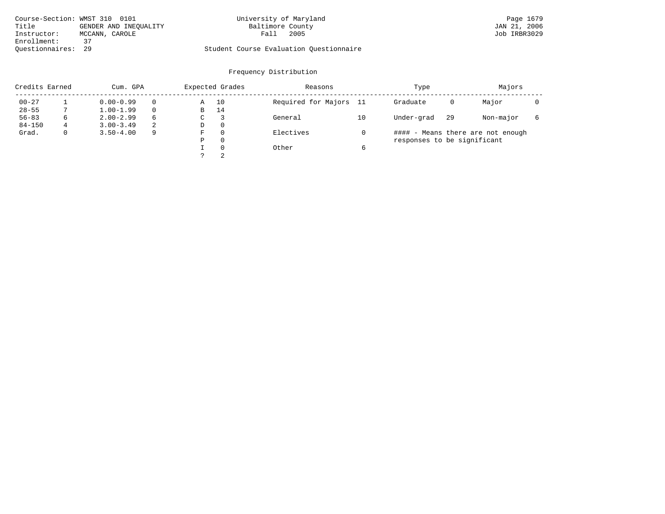| Course-Section: WMST 310 0101 |                       | University of Maryland                  | Page 1679    |
|-------------------------------|-----------------------|-----------------------------------------|--------------|
| Title                         | GENDER AND INEOUALITY | Baltimore County                        | JAN 21, 2006 |
| Instructor:                   | MCCANN, CAROLE        | 2005<br>Fall                            | Job IRBR3029 |
| Enrollment:                   | 37                    |                                         |              |
| Ouestionnaires: 29            |                       | Student Course Evaluation Questionnaire |              |

# University of Maryland Baltimore County 2006 Baltimore County 2006

| Credits Earned |              | Cum. GPA      |   |    | Expected Grades | Reasons                |    | Type                        |    | Majors                            |   |
|----------------|--------------|---------------|---|----|-----------------|------------------------|----|-----------------------------|----|-----------------------------------|---|
| $00 - 27$      |              | $0.00 - 0.99$ |   | Α  | 10              | Required for Majors 11 |    | Graduate                    | 0  | Major                             |   |
| $28 - 55$      |              | $1.00 - 1.99$ |   | в  | 14              |                        |    |                             |    |                                   |   |
| $56 - 83$      | 6            | $2.00 - 2.99$ | 6 | C. | 3               | General                | 10 | Under-grad                  | 29 | Non-major                         | 6 |
| $84 - 150$     | 4            | $3.00 - 3.49$ | 2 | D  | $\Omega$        |                        |    |                             |    |                                   |   |
| Grad.          | $\mathbf{0}$ | $3.50 - 4.00$ | 9 | F  | $\Omega$        | Electives              |    |                             |    | #### - Means there are not enough |   |
|                |              |               |   | Ρ  | $\Omega$        |                        |    | responses to be significant |    |                                   |   |
|                |              |               |   |    | $\Omega$        | Other                  |    |                             |    |                                   |   |
|                |              |               |   |    | 2               |                        |    |                             |    |                                   |   |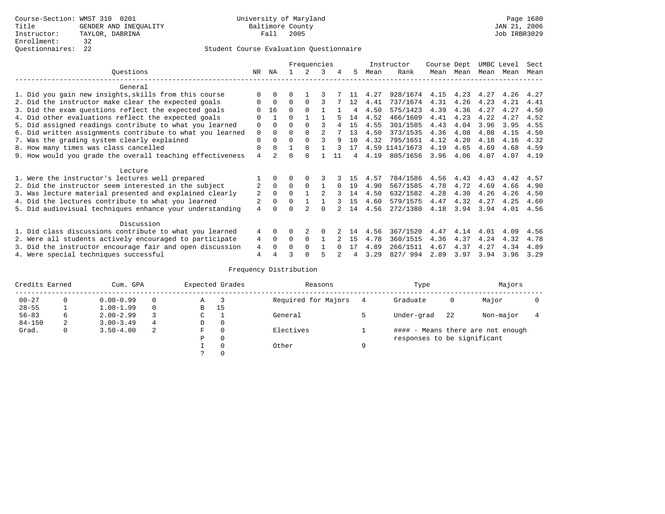|                                                           |     |             |          | Frequencies |   |          |    |      | Instructor     | Course Dept |      | UMBC Level |      | Sect |
|-----------------------------------------------------------|-----|-------------|----------|-------------|---|----------|----|------|----------------|-------------|------|------------|------|------|
| Questions                                                 | NR. | ΝA          |          |             | 3 | 4        | 5. | Mean | Rank           | Mean        | Mean | Mean       | Mean | Mean |
| General                                                   |     |             |          |             |   |          |    |      |                |             |      |            |      |      |
| 1. Did you gain new insights, skills from this course     |     | $\Omega$    | 0        |             |   |          |    | 4.27 | 928/1674       | 4.15        | 4.23 | 4.27       | 4.26 | 4.27 |
| 2. Did the instructor make clear the expected goals       |     | $\mathbf 0$ | $\Omega$ | $\Omega$    |   |          | 12 | 4.41 | 737/1674       | 4.31        | 4.26 | 4.23       | 4.21 | 4.41 |
| 3. Did the exam questions reflect the expected goals      |     | 16          | $\Omega$ |             |   |          | 4  | 4.50 | 575/1423       | 4.39        | 4.36 | 4.27       | 4.27 | 4.50 |
| 4. Did other evaluations reflect the expected goals       | O   |             | O        |             |   |          | 14 | 4.52 | 466/1609       | 4.41        | 4.23 | 4.22       | 4.27 | 4.52 |
| 5. Did assigned readings contribute to what you learned   | 0   | $\Omega$    |          | $\Omega$    |   |          | 15 | 4.55 | 301/1585       | 4.43        | 4.04 | 3.96       | 3.95 | 4.55 |
| 6. Did written assignments contribute to what you learned | 0   | $\Omega$    |          |             |   |          | 13 | 4.50 | 373/1535       | 4.36        | 4.08 | 4.08       | 4.15 | 4.50 |
| 7. Was the grading system clearly explained               | 0   |             |          |             |   | q        | 10 | 4.32 | 795/1651       | 4.12        | 4.20 | 4.18       | 4.16 | 4.32 |
| 8. How many times was class cancelled                     | 0   | $\Omega$    |          | $\Omega$    |   |          | 17 |      | 4.59 1141/1673 | 4.19        | 4.65 | 4.69       | 4.68 | 4.59 |
| 9. How would you grade the overall teaching effectiveness | 4   |             |          | U           |   |          |    | 4.19 | 805/1656       | 3.96        | 4.06 | 4.07       | 4.07 | 4.19 |
| Lecture                                                   |     |             |          |             |   |          |    |      |                |             |      |            |      |      |
| 1. Were the instructor's lectures well prepared           |     |             |          |             |   |          | 15 | 4.57 | 784/1586       | 4.56        | 4.43 | 4.43       | 4.42 | 4.57 |
| 2. Did the instructor seem interested in the subject      | 2   | $\Omega$    | $\Omega$ | $\Omega$    |   | $\Omega$ | 19 | 4.90 | 567/1585       | 4.78        | 4.72 | 4.69       | 4.66 | 4.90 |
| 3. Was lecture material presented and explained clearly   | 2   | $\Omega$    |          |             |   |          | 14 | 4.50 | 632/1582       | 4.28        | 4.30 | 4.26       | 4.26 | 4.50 |
| 4. Did the lectures contribute to what you learned        | 2   | $\mathbf 0$ | $\Omega$ |             |   |          | 15 | 4.60 | 579/1575       | 4.47        | 4.32 | 4.27       | 4.25 | 4.60 |
| 5. Did audiovisual techniques enhance your understanding  | 4   |             |          |             |   |          | 14 | 4.56 | 272/1380       | 4.18        | 3.94 | 3.94       | 4.01 | 4.56 |
| Discussion                                                |     |             |          |             |   |          |    |      |                |             |      |            |      |      |
| 1. Did class discussions contribute to what you learned   | 4   | $\Omega$    | U        |             |   |          | 14 | 4.56 | 367/1520       | 4.47        | 4.14 | 4.01       | 4.09 | 4.56 |
| 2. Were all students actively encouraged to participate   | 4   | $\Omega$    | $\Omega$ | $\Omega$    |   |          | 15 | 4.78 | 360/1515       | 4.36        | 4.37 | 4.24       | 4.32 | 4.78 |
| 3. Did the instructor encourage fair and open discussion  | 4   | $\Omega$    | U        | $\Omega$    |   | $\cap$   | 17 | 4.89 | 266/1511       | 4.67        | 4.37 | 4.27       | 4.34 | 4.89 |
| 4. Were special techniques successful                     | 4   |             |          |             |   |          | 4  | 3.29 | 827/994        | 2.89        | 3.97 | 3.94       | 3.96 | 3.29 |

| Credits Earned |          | Cum. GPA      |   | Expected Grades | Reasons  |                     | Type | Majors                      |    |                                   |  |
|----------------|----------|---------------|---|-----------------|----------|---------------------|------|-----------------------------|----|-----------------------------------|--|
| $00 - 27$      | $\Omega$ | $0.00 - 0.99$ |   | Α               |          | Required for Majors | 4    | Graduate                    | 0  | Major                             |  |
| $28 - 55$      | ᅩ        | $1.00 - 1.99$ |   | B               | 15       |                     |      |                             |    |                                   |  |
| $56 - 83$      | 6        | $2.00 - 2.99$ |   | $\sim$<br>◡     |          | General             |      | Under-grad                  | 22 | Non-major                         |  |
| $84 - 150$     | 2        | $3.00 - 3.49$ | 4 | D               | 0        |                     |      |                             |    |                                   |  |
| Grad.          | 0        | $3.50 - 4.00$ | 2 | F               | 0        | Electives           |      |                             |    | #### - Means there are not enough |  |
|                |          |               |   | Ρ               | 0        |                     |      | responses to be significant |    |                                   |  |
|                |          |               |   |                 | $\Omega$ | Other               | Q    |                             |    |                                   |  |
|                |          |               |   |                 |          |                     |      |                             |    |                                   |  |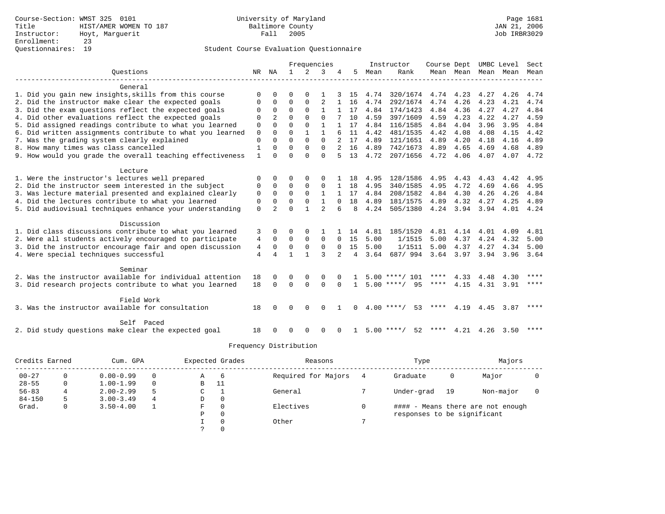|                                                           |                |                |              |              | Frequencies    |          |                |             | Instructor         | Course Dept |                |      | UMBC Level | Sect    |
|-----------------------------------------------------------|----------------|----------------|--------------|--------------|----------------|----------|----------------|-------------|--------------------|-------------|----------------|------|------------|---------|
| Ouestions                                                 | NR             | ΝA             | $\mathbf{1}$ | 2            | 3              |          | 5              | Mean        | Rank               |             | Mean Mean Mean |      | Mean Mean  |         |
| General                                                   |                |                |              |              |                |          |                |             |                    |             |                |      |            |         |
| 1. Did you gain new insights, skills from this course     | $\Omega$       |                | $\Omega$     |              |                |          | 15             | 4.74        | 320/1674           | 4.74        | 4.23           | 4.27 | 4.26       | 4.74    |
| 2. Did the instructor make clear the expected goals       | 0              | $\Omega$       | $\Omega$     | $\Omega$     | 2              |          | 16             | 4.74        | 292/1674           | 4.74        | 4.26           | 4.23 | 4.21       | 4.74    |
| 3. Did the exam questions reflect the expected goals      | $\Omega$       | $\Omega$       | $\Omega$     | $\Omega$     | $\mathbf{1}$   |          | 17             | 4.84        | 174/1423           | 4.84        | 4.36           | 4.27 | 4.27       | 4.84    |
| 4. Did other evaluations reflect the expected goals       | $\Omega$       | $\overline{a}$ | $\Omega$     | $\Omega$     | $\Omega$       |          | 10             | 4.59        | 397/1609           | 4.59        | 4.23           | 4.22 | 4.27       | 4.59    |
| 5. Did assigned readings contribute to what you learned   | $\mathbf 0$    | $\Omega$       | $\Omega$     | $\Omega$     | 1              |          | 17             | 4.84        | 116/1585           | 4.84        | 4.04           | 3.96 | 3.95       | 4.84    |
| 6. Did written assignments contribute to what you learned | $\mathbf 0$    | $\Omega$       | $\Omega$     |              |                |          | 11             | 4.42        | 481/1535           | 4.42        | 4.08           | 4.08 | 4.15       | 4.42    |
| 7. Was the grading system clearly explained               | $\Omega$       | $\Omega$       | $\Omega$     | $\Omega$     | $\Omega$       |          | 17             | 4.89        | 121/1651           | 4.89        | 4.20           | 4.18 | 4.16       | 4.89    |
| 8. How many times was class cancelled                     |                |                | $\Omega$     | $\Omega$     | $\Omega$       |          | 16             | 4.89        | 742/1673           | 4.89        | 4.65           | 4.69 | 4.68       | 4.89    |
| 9. How would you grade the overall teaching effectiveness | 1              | $\Omega$       | $\Omega$     | $\Omega$     | $\Omega$       | 5        | 13             | 4.72        | 207/1656           | 4.72        | 4.06           | 4.07 | 4.07       | 4.72    |
|                                                           |                |                |              |              |                |          |                |             |                    |             |                |      |            |         |
| Lecture                                                   |                |                |              |              |                |          |                |             |                    |             |                |      |            |         |
| 1. Were the instructor's lectures well prepared           | $\Omega$       | $\Omega$       | $\Omega$     | $\Omega$     | $\Omega$       |          | 18             | 4.95        | 128/1586           | 4.95        | 4.43           | 4.43 | 4.42       | 4.95    |
| 2. Did the instructor seem interested in the subject      | 0              | $\Omega$       | $\Omega$     | $\Omega$     | $\Omega$       |          | 18             | 4.95        | 340/1585           | 4.95        | 4.72           | 4.69 | 4.66       | 4.95    |
| 3. Was lecture material presented and explained clearly   | 0              | $\Omega$       | $\Omega$     | $\Omega$     | $\mathbf{1}$   |          | 17             | 4.84        | 208/1582           | 4.84        | 4.30           | 4.26 | 4.26       | 4.84    |
| 4. Did the lectures contribute to what you learned        | 0              | $\Omega$       | $\mathbf 0$  | $\mathbf{0}$ | $\mathbf{1}$   | $\Omega$ | 18             | 4.89        | 181/1575           | 4.89        | 4.32           | 4.27 | 4.25       | 4.89    |
| 5. Did audiovisual techniques enhance your understanding  | $\mathbf 0$    | $\overline{2}$ | $\Omega$     |              | $\mathfrak{D}$ |          | 8              | 4.24        | 505/1380           |             | 4.24 3.94      | 3.94 | 4.01       | 4.24    |
| Discussion                                                |                |                |              |              |                |          |                |             |                    |             |                |      |            |         |
| 1. Did class discussions contribute to what you learned   | 3              | $\Omega$       | ∩            | <sup>0</sup> |                |          | 14             | 4.81        | 185/1520           | 4.81        | 4.14           | 4.01 | 4.09       | 4.81    |
| 2. Were all students actively encouraged to participate   | 4              | $\Omega$       | $\Omega$     | $\Omega$     | $\Omega$       | $\Omega$ | 15             | 5.00        | 1/1515             | 5.00        | 4.37           | 4.24 | 4.32       | 5.00    |
| 3. Did the instructor encourage fair and open discussion  | 4              | $\Omega$       | $\Omega$     | $\mathbf 0$  | $\Omega$       | $\Omega$ | 15             | 5.00        | 1/1511             | 5.00        | 4.37           | 4.27 | 4.34       | 5.00    |
| 4. Were special techniques successful                     | $\overline{4}$ | 4              | $\mathbf{1}$ |              | ζ              |          | $\overline{4}$ | 3.64        | 687/994            | 3.64        | 3.97           | 3.94 | 3.96       | 3.64    |
| Seminar                                                   |                |                |              |              |                |          |                |             |                    |             |                |      |            |         |
| 2. Was the instructor available for individual attention  | 18             | $\Omega$       | $\Omega$     | $\Omega$     | $\Omega$       |          |                |             | $5.00$ ****/ 101   | ****        | 4.33           | 4.48 | 4.30       | ****    |
| 3. Did research projects contribute to what you learned   | 18             | $\Omega$       | $\Omega$     | $\Omega$     | $\Omega$       | $\Omega$ |                |             | $5.00$ ****/<br>95 | ****        | 4.15           | 4.31 | 3.91       | ****    |
|                                                           |                |                |              |              |                |          |                |             |                    |             |                |      |            |         |
| Field Work                                                |                |                |              |              |                |          |                |             |                    |             |                |      |            |         |
| 3. Was the instructor available for consultation          | 18             |                | ∩            |              | ∩              |          |                |             | $4.00$ ****/<br>53 | ****        | 4.19           | 4.45 | 3.87       | ****    |
| Self Paced                                                |                |                |              |              |                |          |                |             |                    |             |                |      |            |         |
| 2. Did study questions make clear the expected goal       | 18             |                |              |              |                |          |                | $5.00$ **** | 52                 |             | 4.21           | 4.26 | 3.50       | $***$ * |
|                                                           |                |                |              |              |                |          |                |             |                    |             |                |      |            |         |

| Credits Earned |   | Cum. GPA      |          |   | Expected Grades | Reasons             | Type                        | Majors |                                   |  |
|----------------|---|---------------|----------|---|-----------------|---------------------|-----------------------------|--------|-----------------------------------|--|
| $00 - 27$      |   | $0.00 - 0.99$ | 0        | Α | - 6             | Required for Majors | Graduate                    | 0      | Major                             |  |
| $28 - 55$      | 0 | $1.00 - 1.99$ | $\Omega$ | В | -11             |                     |                             |        |                                   |  |
| $56 - 83$      |   | $2.00 - 2.99$ |          | C |                 | General             | Under-grad                  | 19     | Non-major                         |  |
| $84 - 150$     |   | $3.00 - 3.49$ | 4        | D | $\circ$         |                     |                             |        |                                   |  |
| Grad.          | 0 | $3.50 - 4.00$ |          | F | 0               | Electives           |                             |        | #### - Means there are not enough |  |
|                |   |               |          | Ρ | 0               |                     | responses to be significant |        |                                   |  |
|                |   |               |          |   | $\Omega$        | Other               |                             |        |                                   |  |
|                |   |               |          |   | $\Omega$        |                     |                             |        |                                   |  |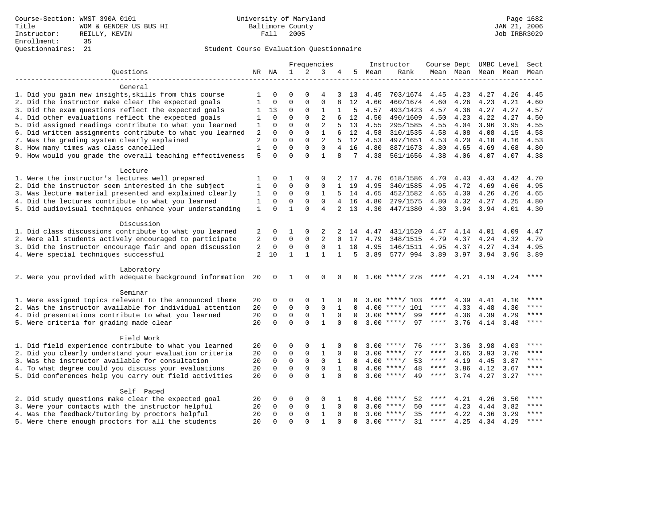|                                                           |                   |               |              |              | Frequencies                    |                |              |      | Instructor         | Course Dept UMBC Level Sect |                |           |                     |                        |
|-----------------------------------------------------------|-------------------|---------------|--------------|--------------|--------------------------------|----------------|--------------|------|--------------------|-----------------------------|----------------|-----------|---------------------|------------------------|
| Ouestions                                                 |                   | NR NA         | $\mathbf{1}$ | 2            | 3                              |                | 5            | Mean | Rank               |                             |                |           | Mean Mean Mean Mean | Mean                   |
| General                                                   |                   |               |              |              |                                |                |              |      |                    |                             |                |           |                     |                        |
| 1. Did you gain new insights, skills from this course     | 1                 | $\Omega$      | $\Omega$     | $\Omega$     | 4                              | 3              |              | 4.45 | 703/1674           | 4.45                        | 4.23           | 4.27      | 4.26                | 4.45                   |
| 2. Did the instructor make clear the expected goals       | $\mathbf{1}$      | $\mathbf{0}$  | $\Omega$     | $\Omega$     | $\Omega$                       | 8              | 13<br>12     | 4.60 | 460/1674           | 4.60                        | 4.26           | 4.23      | 4.21                | 4.60                   |
|                                                           | 1                 | 13            | $\Omega$     | $\Omega$     | $\mathbf{1}$                   | 1              | 5            | 4.57 | 493/1423           | 4.57                        | 4.36           | 4.27      | 4.27                | 4.57                   |
| 3. Did the exam questions reflect the expected goals      |                   |               | $\Omega$     | $\Omega$     |                                |                |              |      |                    |                             |                |           |                     |                        |
| 4. Did other evaluations reflect the expected goals       | 1                 | 0<br>$\Omega$ | $\Omega$     | $\Omega$     | 2<br>2                         | 6<br>5         | 12<br>13     | 4.50 | 490/1609           | 4.50                        | 4.23           | 4.22      | 4.27<br>3.95        | 4.50                   |
| 5. Did assigned readings contribute to what you learned   | 1                 |               | $\Omega$     | $\Omega$     |                                |                |              | 4.55 | 295/1585           | 4.55                        | 4.04           | 3.96      |                     | 4.55                   |
| 6. Did written assignments contribute to what you learned | $\sqrt{2}$        | 0<br>$\Omega$ | $\Omega$     | $\Omega$     | $\mathbf{1}$<br>$\overline{2}$ | 6              | 12           | 4.58 | 310/1535           | 4.58                        | 4.08           | 4.08      | 4.15                | 4.58                   |
| 7. Was the grading system clearly explained               | 2<br>$\mathbf{1}$ |               | $\Omega$     | $\Omega$     | $\mathbf 0$                    | 5              | 12           | 4.53 | 497/1651           | 4.53                        | 4.20           | 4.18      | 4.16                | 4.53                   |
| 8. How many times was class cancelled                     |                   | 0<br>$\Omega$ | $\Omega$     | $\Omega$     |                                | $\overline{4}$ | 16           | 4.80 | 887/1673           | 4.80                        | 4.65           | 4.69      | 4.68                | 4.80                   |
| 9. How would you grade the overall teaching effectiveness | 5                 |               |              |              | $\mathbf{1}$                   | 8              | 7            | 4.38 | 561/1656           | 4.38                        | 4.06           | 4.07      | 4.07                | 4.38                   |
| Lecture                                                   |                   |               |              |              |                                |                |              |      |                    |                             |                |           |                     |                        |
| 1. Were the instructor's lectures well prepared           | 1                 | 0             | 1            | $\Omega$     | 0                              | 2              | 17           | 4.70 | 618/1586           | 4.70                        | 4.43           | 4.43      | 4.42                | 4.70                   |
| 2. Did the instructor seem interested in the subject      | $\mathbf{1}$      | $\mathbf 0$   | $\mathbf{0}$ | 0            | $\mathbf 0$                    | $\mathbf{1}$   | 19           | 4.95 | 340/1585           | 4.95                        | 4.72           | 4.69      | 4.66                | 4.95                   |
| 3. Was lecture material presented and explained clearly   | 1                 | $\Omega$      | 0            | $\Omega$     | 1                              | 5              | 14           | 4.65 | 452/1582           | 4.65                        | 4.30           | 4.26      | 4.26                | 4.65                   |
| 4. Did the lectures contribute to what you learned        | 1                 | $\Omega$      | $\Omega$     | $\Omega$     | $\Omega$                       | 4              | 16           | 4.80 | 279/1575           | 4.80                        | 4.32           | 4.27      | 4.25                | 4.80                   |
| 5. Did audiovisual techniques enhance your understanding  | $\mathbf{1}$      | $\Omega$      | $\mathbf{1}$ | $\Omega$     | $\overline{4}$                 | 2              | 13           | 4.30 | 447/1380           |                             | 4.30 3.94 3.94 |           | 4.01                | 4.30                   |
|                                                           |                   |               |              |              |                                |                |              |      |                    |                             |                |           |                     |                        |
| Discussion                                                |                   |               |              |              |                                |                |              |      |                    |                             |                |           |                     |                        |
| 1. Did class discussions contribute to what you learned   | 2                 | 0             | 1            | $\Omega$     | 2                              |                | 14           | 4.47 | 431/1520           | 4.47                        | 4.14           | 4.01      | 4.09                | 4.47                   |
| 2. Were all students actively encouraged to participate   | 2                 | 0             | $\Omega$     | 0            | 2                              | $\Omega$       | 17           | 4.79 | 348/1515           | 4.79                        | 4.37           | 4.24      | 4.32                | 4.79                   |
| 3. Did the instructor encourage fair and open discussion  | 2                 | 0             | $\mathbf 0$  | 0            | $\mathbf 0$                    | $\mathbf{1}$   | 18           | 4.95 | 146/1511           | 4.95                        | 4.37           | 4.27      | 4.34                | 4.95                   |
| 4. Were special techniques successful                     | 2                 | 10            | $\mathbf{1}$ | $\mathbf{1}$ | $\mathbf{1}$                   | $\mathbf{1}$   | 5            | 3.89 | 577/994            | 3.89 3.97                   |                | 3.94      | 3.96                | 3.89                   |
| Laboratory                                                |                   |               |              |              |                                |                |              |      |                    |                             |                |           |                     |                        |
| 2. Were you provided with adequate background information | 20                | 0             | 1            | $\mathbf 0$  | $\mathbf 0$                    | $\Omega$       | $\Omega$     |      | $1.00$ ****/ 278   | ****                        |                | 4.21 4.19 | 4.24                | ****                   |
|                                                           |                   |               |              |              |                                |                |              |      |                    |                             |                |           |                     |                        |
| Seminar                                                   |                   |               |              |              |                                |                |              |      |                    |                             |                |           |                     |                        |
| 1. Were assigned topics relevant to the announced theme   | 20                | 0             | $\Omega$     | $\Omega$     | 1                              | 0              | 0            |      | $3.00$ ****/ 103   | ****                        | 4.39           | 4.41      | 4.10                | ****                   |
| 2. Was the instructor available for individual attention  | 20                | $\mathbf 0$   | $\mathbf 0$  | 0            | $\mathbf 0$                    | $\mathbf{1}$   | $\Omega$     |      | $4.00$ ****/ 101   | ****                        | 4.33           | 4.48      | 4.30                | ****                   |
| 4. Did presentations contribute to what you learned       | 20                | 0             | $\mathbf 0$  | $\mathbf 0$  | $\mathbf{1}$                   | $\Omega$       | $\Omega$     |      | 99<br>$3.00$ ****/ | $***$ * * *                 | 4.36           | 4.39      | 4.29                | ****                   |
| 5. Were criteria for grading made clear                   | 20                | $\Omega$      | $\Omega$     | $\Omega$     | $\mathbf{1}$                   | $\Omega$       | $\Omega$     |      | $3.00$ ****/<br>97 | $***$ * *                   | 3.76           | 4.14      | 3.48                | $\star\star\star\star$ |
| Field Work                                                |                   |               |              |              |                                |                |              |      |                    |                             |                |           |                     |                        |
| 1. Did field experience contribute to what you learned    | 20                | 0             | $\Omega$     | $\Omega$     | 1                              | $\Omega$       | O            |      | 76<br>$3.00$ ****/ | ****                        | 3.36           | 3.98      | 4.03                | $***$ * * *            |
| 2. Did you clearly understand your evaluation criteria    | 20                | 0             | $\mathbf{0}$ | $\mathbf 0$  | $\mathbf{1}$                   | $\Omega$       | $\Omega$     | 3.00 | 77<br>$***/$       | ****                        | 3.65           | 3.93      | 3.70                | $***$                  |
| 3. Was the instructor available for consultation          | 20                | 0             | $\mathbf 0$  | $\mathbf 0$  | $\mathbf 0$                    | 1              | $\Omega$     |      | $4.00$ ****/<br>53 | ****                        | 4.19           | 4.45      | 3.87                | ****                   |
| 4. To what degree could you discuss your evaluations      | 20                | $\Omega$      | $\Omega$     | $\Omega$     | $\mathbf 0$                    | $\mathbf{1}$   | <sup>0</sup> |      | $4.00$ ****/<br>48 | $***$ * * *                 | 3.86           | 4.12      | 3.67                | $***$                  |
| 5. Did conferences help you carry out field activities    | 20                | $\Omega$      | $\mathbf 0$  | $\Omega$     | $\mathbf{1}$                   | $\Omega$       | $\Omega$     |      | $3.00$ ****/<br>49 | $***$ * * *                 | 3.74           | 4.27      | 3.27                | ****                   |
|                                                           |                   |               |              |              |                                |                |              |      |                    |                             |                |           |                     |                        |
| Self Paced                                                |                   |               |              |              |                                |                |              |      |                    |                             |                |           |                     |                        |
| 2. Did study questions make clear the expected goal       | 20                | 0             | $\Omega$     | $\Omega$     | $\mathbf 0$                    | 1              | 0            |      | $4.00$ ****/<br>52 | ****                        | 4.21           | 4.26      | 3.50                |                        |
| 3. Were your contacts with the instructor helpful         | 20                | $\Omega$      | $\mathbf{0}$ | $\Omega$     | $\mathbf{1}$                   | $\Omega$       | $\Omega$     | 3.00 | 50<br>$***$ /      | ****                        | 4.23           | 4.44      | 3.82                | ****                   |
| 4. Was the feedback/tutoring by proctors helpful          | 20                | $\Omega$      | $\Omega$     | 0            | $\mathbf{1}$                   | $\Omega$       | O            |      | $3.00$ ****/<br>35 | ****                        | 4.22           | 4.36      | 3.29                | $***$                  |
| 5. Were there enough proctors for all the students        | 20                | $\Omega$      | $\Omega$     | $\Omega$     | 1                              | $\Omega$       | $\Omega$     |      | $3.00$ ****/<br>31 | $***$ * * *                 | 4.25           | 4.34      | 4.29                | $***$                  |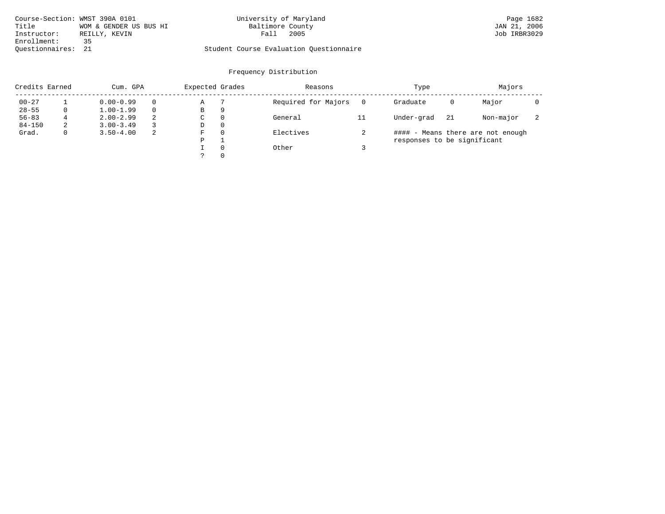|                    | Course-Section: WMST 390A 0101 | University of Maryland                  | Page 1682    |
|--------------------|--------------------------------|-----------------------------------------|--------------|
| Title              | WOM & GENDER US BUS HI         | Baltimore County                        | JAN 21, 2006 |
| Instructor:        | REILLY, KEVIN                  | 2005<br>Fall                            | Job IRBR3029 |
| Enrollment:        | 35                             |                                         |              |
| Ouestionnaires: 21 |                                | Student Course Evaluation Questionnaire |              |

|            | Credits Earned | Cum. GPA      | Expected Grades |   | Reasons  |                     | Type | Majors                      |     |                              |   |
|------------|----------------|---------------|-----------------|---|----------|---------------------|------|-----------------------------|-----|------------------------------|---|
| $00 - 27$  |                | $0.00 - 0.99$ | $\Omega$        | Α |          | Required for Majors |      | Graduate                    | 0   | Major                        |   |
| $28 - 55$  | 0              | $1.00 - 1.99$ | $\Omega$        | В | 9        |                     |      |                             |     |                              |   |
| $56 - 83$  | 4              | $2.00 - 2.99$ | 2               | С | 0        | General             |      | Under-grad                  | -21 | Non-major                    | 4 |
| $84 - 150$ | 2              | $3.00 - 3.49$ |                 | D | 0        |                     |      |                             |     |                              |   |
| Grad.      | 0              | $3.50 - 4.00$ | -2              | F | $\Omega$ | Electives           | ╭    | ####                        |     | - Means there are not enough |   |
|            |                |               |                 | P |          |                     |      | responses to be significant |     |                              |   |
|            |                |               |                 |   | $\Omega$ | Other               |      |                             |     |                              |   |
|            |                |               |                 |   | $\Omega$ |                     |      |                             |     |                              |   |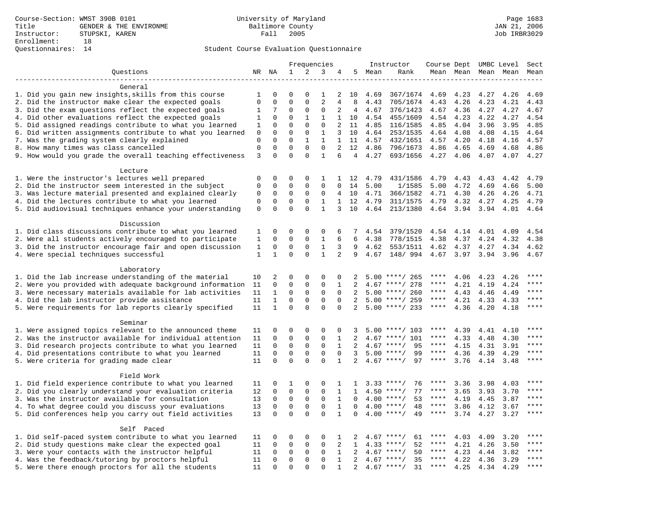|                                                           |              |                            | Frequencies                |                            |                            |                             | Instructor      | Course Dept UMBC Level |                                          |              |              | Sect                |      |                        |
|-----------------------------------------------------------|--------------|----------------------------|----------------------------|----------------------------|----------------------------|-----------------------------|-----------------|------------------------|------------------------------------------|--------------|--------------|---------------------|------|------------------------|
| Questions                                                 |              | NR NA                      | 1                          | 2                          | 3                          | 4                           |                 | 5 Mean                 | Rank                                     |              |              | Mean Mean Mean Mean |      | Mean                   |
|                                                           |              |                            |                            |                            |                            |                             |                 |                        |                                          |              |              |                     |      |                        |
| General                                                   |              |                            |                            |                            |                            |                             |                 |                        |                                          |              |              |                     |      |                        |
| 1. Did you gain new insights, skills from this course     | 1            | 0                          | $\Omega$                   | $\Omega$                   | 1                          | 2                           | 10              | 4.69                   | 367/1674                                 | 4.69         | 4.23         | 4.27                | 4.26 | 4.69                   |
| 2. Did the instructor make clear the expected goals       | $\mathbf 0$  | $\mathbf 0$                | $\Omega$                   | $\Omega$                   | $\overline{a}$             | 4                           | 8               | 4.43                   | 705/1674                                 | 4.43         | 4.26         | 4.23                | 4.21 | 4.43                   |
| 3. Did the exam questions reflect the expected goals      | 1            | 7                          | $\Omega$                   | $\Omega$                   | $\Omega$                   | 2                           | $\overline{4}$  | 4.67                   | 376/1423                                 | 4.67         | 4.36         | 4.27                | 4.27 | 4.67                   |
| 4. Did other evaluations reflect the expected goals       | 1            | $\Omega$                   | $\Omega$                   | $\mathbf{1}$               | $\mathbf{1}$               | $\mathbf{1}$                | 10              | 4.54                   | 455/1609                                 | 4.54         | 4.23         | 4.22                | 4.27 | 4.54                   |
| 5. Did assigned readings contribute to what you learned   | $\mathbf{1}$ | $\mathbf 0$                | $\mathbf 0$                | $\mathbf 0$                | $\mathbf 0$                | 2                           | 11              | 4.85                   | 116/1585                                 | 4.85         | 4.04         | 3.96                | 3.95 | 4.85                   |
| 6. Did written assignments contribute to what you learned | 0            | $\mathbf 0$                | $\Omega$                   | $\mathbf{0}$               | $\mathbf{1}$               | 3                           | 10              | 4.64                   | 253/1535                                 | 4.64         | 4.08         | 4.08                | 4.15 | 4.64                   |
| 7. Was the grading system clearly explained               | 0            | $\Omega$                   | $\Omega$                   | 1                          | 1                          | 1                           |                 | 11 4.57                | 432/1651                                 | 4.57         | 4.20         | 4.18                | 4.16 | 4.57                   |
| 8. How many times was class cancelled                     | $\mathbf 0$  | $\mathbf 0$                | $\mathbf 0$<br>$\Omega$    | $\Omega$<br>$\Omega$       | $\Omega$<br>$\mathbf{1}$   | 2                           | 12              | 4.86                   | 796/1673                                 | 4.86         | 4.65         | 4.69                | 4.68 | 4.86                   |
| 9. How would you grade the overall teaching effectiveness | 3            | $\Omega$                   |                            |                            |                            | 6                           | $4\overline{ }$ | 4.27                   | 693/1656                                 | 4.27         | 4.06         | 4.07                | 4.07 | 4.27                   |
| Lecture                                                   |              |                            |                            |                            |                            |                             |                 |                        |                                          |              |              |                     |      |                        |
| 1. Were the instructor's lectures well prepared           | 0            | $\mathbf 0$                | 0                          | 0                          | 1                          |                             | 1 12            | 4.79                   | 431/1586                                 | 4.79         | 4.43         | 4.43                | 4.42 | 4.79                   |
| 2. Did the instructor seem interested in the subject      | 0            | 0                          | 0                          | 0                          | 0                          | 0                           | 14              | 5.00                   | 1/1585                                   | 5.00         | 4.72         | 4.69                | 4.66 | 5.00                   |
| 3. Was lecture material presented and explained clearly   | 0            | $\mathbf 0$                | 0                          | 0                          | 0                          | 4                           | 10              | 4.71                   | 366/1582                                 | 4.71         | 4.30         | 4.26                | 4.26 | 4.71                   |
| 4. Did the lectures contribute to what you learned        | 0            | 0                          | 0                          | 0                          | 1                          | $\mathbf{1}$                | 12              | 4.79                   | 311/1575                                 | 4.79         | 4.32         | 4.27                | 4.25 | 4.79                   |
| 5. Did audiovisual techniques enhance your understanding  | $\mathbf 0$  | $\Omega$                   | $\Omega$                   | $\Omega$                   | $\mathbf{1}$               | 3                           | 10              | 4.64                   | 213/1380                                 | 4.64         | 3.94         | 3.94                | 4.01 | 4.64                   |
|                                                           |              |                            |                            |                            |                            |                             |                 |                        |                                          |              |              |                     |      |                        |
| Discussion                                                |              |                            |                            |                            |                            |                             |                 |                        |                                          |              |              |                     |      |                        |
| 1. Did class discussions contribute to what you learned   | 1            | 0                          | 0                          | 0                          | 0                          | 6                           | 7               | 4.54                   | 379/1520                                 | 4.54         | 4.14         | 4.01                | 4.09 | 4.54                   |
| 2. Were all students actively encouraged to participate   | 1            | 0                          | 0                          | 0                          | $\mathbf{1}$               | 6                           | 6               | 4.38                   | 778/1515                                 | 4.38         | 4.37         | 4.24                | 4.32 | 4.38                   |
| 3. Did the instructor encourage fair and open discussion  | 1            | 0                          | 0                          | 0                          | $\mathbf{1}$               | 3                           | 9               | 4.62                   | 553/1511                                 | 4.62         | 4.37         | 4.27                | 4.34 | 4.62                   |
| 4. Were special techniques successful                     | $\mathbf{1}$ | $\mathbf{1}$               | $\Omega$                   | $\Omega$                   | $\mathbf{1}$               | $\overline{2}$              | 9               | 4.67                   | 148/ 994                                 | 4.67         | 3.97         | 3.94                | 3.96 | 4.67                   |
|                                                           |              |                            |                            |                            |                            |                             |                 |                        |                                          |              |              |                     |      |                        |
| Laboratory                                                |              |                            |                            |                            |                            |                             |                 |                        |                                          |              |              |                     |      |                        |
| 1. Did the lab increase understanding of the material     | 10           | 2                          | 0                          | $\mathbf 0$                | 0                          | 0                           | 2               |                        | $5.00$ ****/ 265                         | ****         | 4.06         | 4.23                | 4.26 |                        |
| 2. Were you provided with adequate background information | 11           | $\mathsf 0$                | $\mathbf 0$                | $\mathbf{0}$               | $\mathbf 0$                | 1                           | 2               | 4.67                   | ****/ 278                                | ****         | 4.21         | 4.19                | 4.24 | ****                   |
| 3. Were necessary materials available for lab activities  | 11           | 1                          | 0                          | $\mathbf 0$                | $\mathbf 0$                | $\Omega$                    | 2               |                        | $5.00$ ****/ 260                         | ****         | 4.43         | 4.46                | 4.49 | ****                   |
| 4. Did the lab instructor provide assistance              | 11           | $\mathbf{1}$               | $\Omega$                   | $\mathbf 0$                | $\Omega$                   | $\Omega$                    | $\overline{2}$  |                        | $5.00$ ****/ 259                         | ****         | 4.21         | 4.33                | 4.33 | $\star\star\star\star$ |
| 5. Were requirements for lab reports clearly specified    | 11           | $\mathbf{1}$               | $\Omega$                   | $\Omega$                   | $\Omega$                   | $\Omega$                    | 2               |                        | $5.00$ ****/ 233                         | $***$ * * *  | 4.36         | 4.20                | 4.18 | ****                   |
|                                                           |              |                            |                            |                            |                            |                             |                 |                        |                                          |              |              |                     |      |                        |
| Seminar                                                   |              |                            |                            |                            |                            |                             |                 |                        |                                          | ****         |              |                     |      | ****                   |
| 1. Were assigned topics relevant to the announced theme   | 11           | 0                          | 0                          | $\mathbf 0$                | $\mathbf 0$                | $\mathbf 0$                 | 3               |                        | $5.00$ ****/ 103                         | ****         | 4.39         | 4.41                | 4.10 |                        |
| 2. Was the instructor available for individual attention  | 11           | $\mathbf 0$                | $\mathbf 0$                | $\mathsf 0$                | $\mathbf 0$                | $\mathbf{1}$                | $\overline{2}$  |                        | 4.67 ****/ 101                           |              | 4.33         | 4.48                | 4.30 | ****                   |
| 3. Did research projects contribute to what you learned   | 11           | $\mathbf 0$<br>$\mathbf 0$ | $\mathbf 0$<br>$\mathbf 0$ | $\mathbf 0$<br>$\mathbf 0$ | $\mathbf 0$<br>$\mathbf 0$ | 1                           | 2               |                        | $4.67$ ****/<br>95<br>$5.00$ ****/<br>99 | ****<br>**** | 4.15         | 4.31                | 3.91 | $***$                  |
| 4. Did presentations contribute to what you learned       | 11<br>11     | $\Omega$                   | $\Omega$                   | $\Omega$                   | $\Omega$                   | $\mathbf 0$<br>$\mathbf{1}$ | 3<br>2          |                        | $4.67$ ****/<br>97                       | ****         | 4.36<br>3.76 | 4.39                | 4.29 | ****                   |
| 5. Were criteria for grading made clear                   |              |                            |                            |                            |                            |                             |                 |                        |                                          |              |              | 4.14                | 3.48 |                        |
| Field Work                                                |              |                            |                            |                            |                            |                             |                 |                        |                                          |              |              |                     |      |                        |
| 1. Did field experience contribute to what you learned    | 11           | 0                          | 1                          | 0                          | 0                          | 1                           | $\mathbf{1}$    |                        | $3.33$ ****/<br>76                       | ****         | 3.36         | 3.98                | 4.03 |                        |
| 2. Did you clearly understand your evaluation criteria    | 12           | 0                          | 0                          | 0                          | 0                          | 1                           | $\mathbf{1}$    |                        | $4.50$ ****/<br>77                       | ****         | 3.65         | 3.93                | 3.70 | ****                   |
| 3. Was the instructor available for consultation          | 13           | 0                          | $\mathbf 0$                | $\mathbf 0$                | $\mathbf 0$                | 1                           | $\Omega$        |                        | $4.00$ ****/<br>53                       | ****         | 4.19         | 4.45                | 3.87 | ****                   |
| 4. To what degree could you discuss your evaluations      | 13           | $\mathbf 0$                | $\mathbf 0$                | $\mathbf 0$                | $\mathbf 0$                | 1                           | $\Omega$        |                        | $4.00$ ****/<br>48                       | ****         | 3.86         | 4.12                | 3.67 | ****                   |
| 5. Did conferences help you carry out field activities    | 13           | $\Omega$                   | $\Omega$                   | $\Omega$                   | $\Omega$                   | $\mathbf{1}$                | $\Omega$        | 4.00                   | 49<br>$***$ /                            | $***$ * * *  | 3.74         | 4.27                | 3.27 | $***$                  |
|                                                           |              |                            |                            |                            |                            |                             |                 |                        |                                          |              |              |                     |      |                        |
| Self Paced                                                |              |                            |                            |                            |                            |                             |                 |                        |                                          |              |              |                     |      |                        |
| 1. Did self-paced system contribute to what you learned   | 11           | 0                          | 0                          | $\mathbf 0$                | $\mathbf 0$                | 1                           | 2               |                        | $4.67$ ****/<br>61                       | ****         | 4.03         | 4.09                | 3.20 | ****                   |
| 2. Did study questions make clear the expected goal       | 11           | $\mathbf 0$                | $\mathbf 0$                | 0                          | $\mathbf 0$                | 2                           | $\mathbf{1}$    |                        | $4.33$ ****/<br>52                       | $***$ * * *  | 4.21         | 4.26                | 3.50 | ****                   |
| 3. Were your contacts with the instructor helpful         | 11           | $\Omega$                   | 0                          | 0                          | 0                          | $\mathbf{1}$                | 2               | 4.67                   | $***/$<br>50                             | ****         | 4.23         | 4.44                | 3.82 | ****                   |
| 4. Was the feedback/tutoring by proctors helpful          | 11           | 0                          | $\mathbf 0$                | $\mathbf{0}$               | $\mathbf 0$                | $\mathbf{1}$                | 2               |                        | 35<br>$4.67$ ****/                       | ****         | 4.22         | 4.36                | 3.29 | ****                   |
| 5. Were there enough proctors for all the students        | 11           | $\Omega$                   | $\Omega$                   | $\Omega$                   | $\Omega$                   | $\mathbf{1}$                | 2               |                        | $4.67$ ****/<br>31                       | $***$ * * *  | 4.25         | 4.34                | 4.29 | $***$                  |
|                                                           |              |                            |                            |                            |                            |                             |                 |                        |                                          |              |              |                     |      |                        |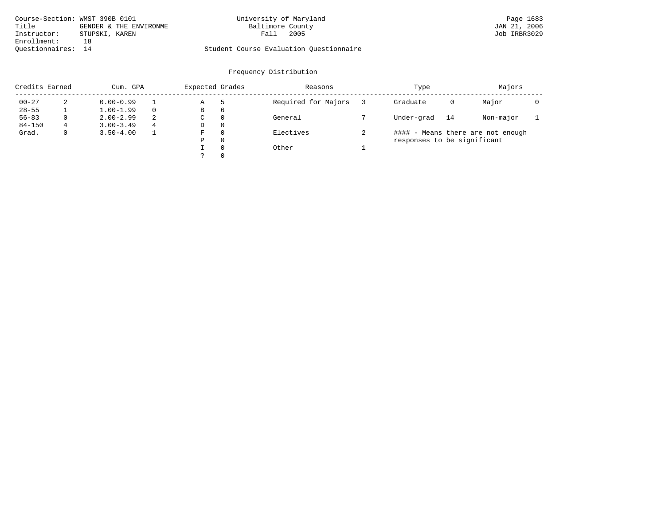|                    | Course-Section: WMST 390B 0101 | University of Maryland                  | Page 1683    |
|--------------------|--------------------------------|-----------------------------------------|--------------|
| Title              | GENDER & THE ENVIRONME         | Baltimore County                        | JAN 21, 2006 |
| Instructor:        | STUPSKI, KAREN                 | 2005<br>Fall                            | Job IRBR3029 |
| Enrollment:        | 18                             |                                         |              |
| Ouestionnaires: 14 |                                | Student Course Evaluation Questionnaire |              |

| Credits Earned |   | Cum. GPA      | Expected Grades |   | Reasons  | Type                | Majors                      |    |                                   |  |
|----------------|---|---------------|-----------------|---|----------|---------------------|-----------------------------|----|-----------------------------------|--|
| $00 - 27$      | 2 | $0.00 - 0.99$ |                 | Α | 5        | Required for Majors | Graduate                    | 0  | Major                             |  |
| $28 - 55$      |   | $1.00 - 1.99$ | $\Omega$        | В | 6        |                     |                             |    |                                   |  |
| $56 - 83$      | 0 | $2.00 - 2.99$ | 2               | C | 0        | General             | Under-grad                  | 14 | Non-major                         |  |
| $84 - 150$     | 4 | $3.00 - 3.49$ | 4               | D | 0        |                     |                             |    |                                   |  |
| Grad.          | 0 | $3.50 - 4.00$ |                 | F | 0        | Electives           |                             |    | #### - Means there are not enough |  |
|                |   |               |                 | Ρ | 0        |                     | responses to be significant |    |                                   |  |
|                |   |               |                 |   | $\Omega$ | Other               |                             |    |                                   |  |
|                |   |               |                 |   | 0        |                     |                             |    |                                   |  |